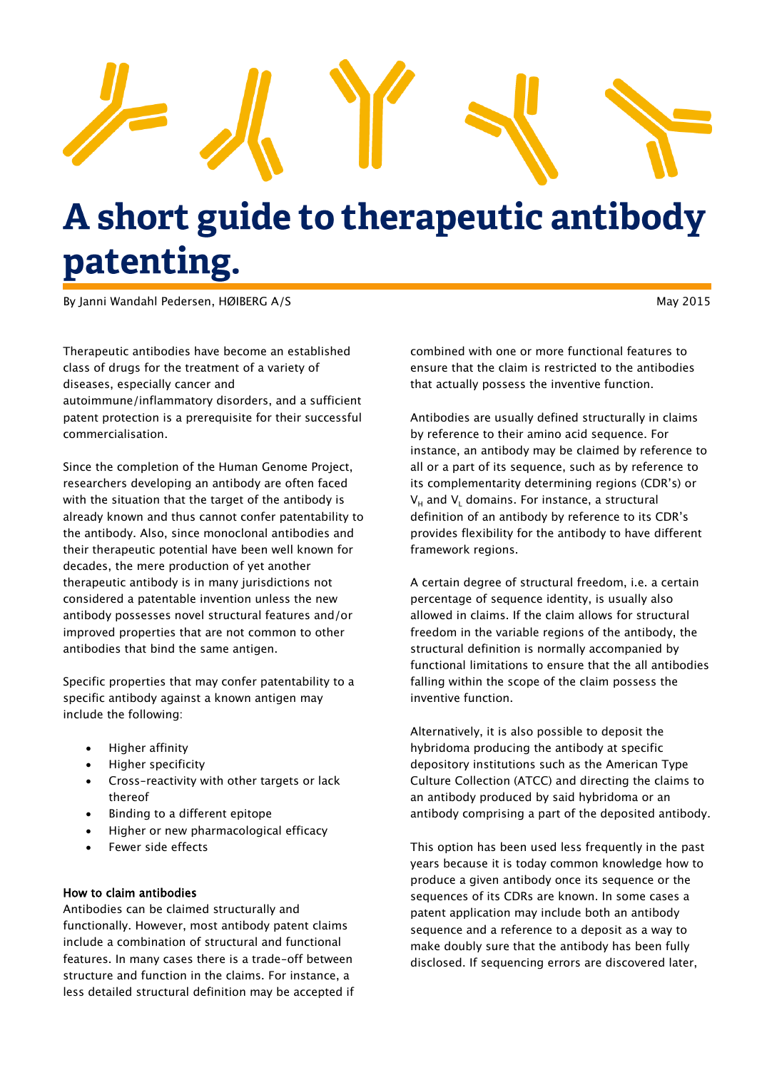

# A short guide to therapeutic antibody patenting.

By Janni Wandahl Pedersen, HØIBERG A/S May 2015

Therapeutic antibodies have become an established class of drugs for the treatment of a variety of diseases, especially cancer and autoimmune/inflammatory disorders, and a sufficient patent protection is a prerequisite for their successful commercialisation.

Since the completion of the Human Genome Project, researchers developing an antibody are often faced with the situation that the target of the antibody is already known and thus cannot confer patentability to the antibody. Also, since monoclonal antibodies and their therapeutic potential have been well known for decades, the mere production of yet another therapeutic antibody is in many jurisdictions not considered a patentable invention unless the new antibody possesses novel structural features and/or improved properties that are not common to other antibodies that bind the same antigen.

Specific properties that may confer patentability to a specific antibody against a known antigen may include the following:

- Higher affinity
- Higher specificity
- Cross-reactivity with other targets or lack thereof
- Binding to a different epitope
- Higher or new pharmacological efficacy
- Fewer side effects

### How to claim antibodies

Antibodies can be claimed structurally and functionally. However, most antibody patent claims include a combination of structural and functional features. In many cases there is a trade-off between structure and function in the claims. For instance, a less detailed structural definition may be accepted if

combined with one or more functional features to ensure that the claim is restricted to the antibodies that actually possess the inventive function.

Antibodies are usually defined structurally in claims by reference to their amino acid sequence. For instance, an antibody may be claimed by reference to all or a part of its sequence, such as by reference to its complementarity determining regions (CDR's) or  $V_H$  and  $V_L$  domains. For instance, a structural definition of an antibody by reference to its CDR's provides flexibility for the antibody to have different framework regions.

A certain degree of structural freedom, i.e. a certain percentage of sequence identity, is usually also allowed in claims. If the claim allows for structural freedom in the variable regions of the antibody, the structural definition is normally accompanied by functional limitations to ensure that the all antibodies falling within the scope of the claim possess the inventive function.

Alternatively, it is also possible to deposit the hybridoma producing the antibody at specific depository institutions such as the American Type Culture Collection (ATCC) and directing the claims to an antibody produced by said hybridoma or an antibody comprising a part of the deposited antibody.

This option has been used less frequently in the past years because it is today common knowledge how to produce a given antibody once its sequence or the sequences of its CDRs are known. In some cases a patent application may include both an antibody sequence and a reference to a deposit as a way to make doubly sure that the antibody has been fully disclosed. If sequencing errors are discovered later,